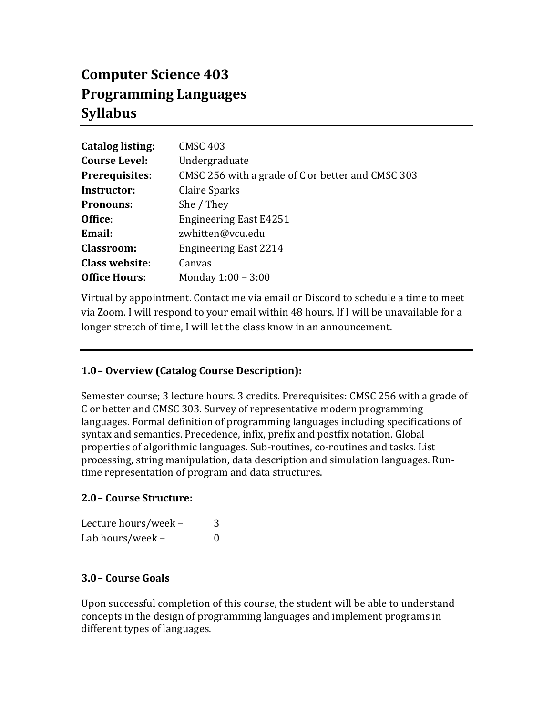# **Computer Science 403 Programming Languages Syllabus**

| <b>Catalog listing:</b> | <b>CMSC 403</b>                                   |  |
|-------------------------|---------------------------------------------------|--|
| <b>Course Level:</b>    | Undergraduate                                     |  |
| <b>Prerequisites:</b>   | CMSC 256 with a grade of C or better and CMSC 303 |  |
| Instructor:             | <b>Claire Sparks</b>                              |  |
| <b>Pronouns:</b>        | She / They                                        |  |
| Office:                 | <b>Engineering East E4251</b>                     |  |
| Email:                  | zwhitten@vcu.edu                                  |  |
| <b>Classroom:</b>       | <b>Engineering East 2214</b>                      |  |
| <b>Class website:</b>   | Canvas                                            |  |
| <b>Office Hours:</b>    | Monday 1:00 - 3:00                                |  |

Virtual by appointment. Contact me via email or Discord to schedule a time to meet via Zoom. I will respond to your email within 48 hours. If I will be unavailable for a longer stretch of time, I will let the class know in an announcement.

# **1.0– Overview (Catalog Course Description):**

Semester course; 3 lecture hours. 3 credits. Prerequisites: CMSC 256 with a grade of C or better and CMSC 303. Survey of representative modern programming languages. Formal definition of programming languages including specifications of syntax and semantics. Precedence, infix, prefix and postfix notation. Global properties of algorithmic languages. Sub-routines, co-routines and tasks. List processing, string manipulation, data description and simulation languages. Runtime representation of program and data structures.

# **2.0– Course Structure:**

| Lecture hours/week - | 3 |
|----------------------|---|
| Lab hours/week -     | 0 |

# **3.0– Course Goals**

Upon successful completion of this course, the student will be able to understand concepts in the design of programming languages and implement programs in different types of languages.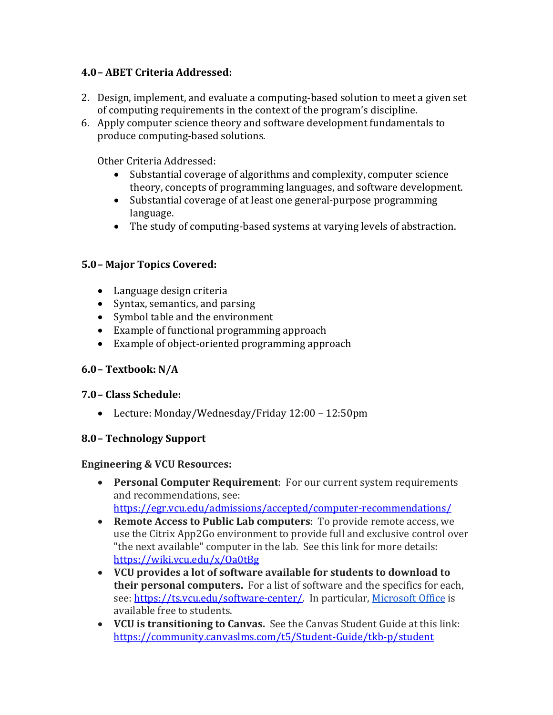# **4.0– ABET Criteria Addressed:**

- 2. Design, implement, and evaluate a computing-based solution to meet a given set of computing requirements in the context of the program's discipline.
- 6. Apply computer science theory and software development fundamentals to produce computing-based solutions.

Other Criteria Addressed:

- Substantial coverage of algorithms and complexity, computer science theory, concepts of programming languages, and software development.
- Substantial coverage of at least one general-purpose programming language.
- The study of computing-based systems at varying levels of abstraction.

# **5.0– Major Topics Covered:**

- Language design criteria
- Syntax, semantics, and parsing
- Symbol table and the environment
- $\bullet$  Example of functional programming approach
- $\bullet$  Example of object-oriented programming approach

# **6.0– Textbook: N/A**

# **7.0– Class Schedule:**

• Lecture: Monday/Wednesday/Friday 12:00 - 12:50pm

# **8.0– Technology Support**

# **Engineering & VCU Resources:**

• **Personal Computer Requirement**: For our current system requirements and recommendations, see:

https://egr.vcu.edu/admissions/accepted/computer-recommendations/

- **Remote Access to Public Lab computers**: To provide remote access, we use the Citrix App2Go environment to provide full and exclusive control over "the next available" computer in the lab. See this link for more details: https://wiki.vcu.edu/x/Oa0tBg
- **VCU** provides a lot of software available for students to download to **their personal computers.** For a list of software and the specifics for each, see: https://ts.vcu.edu/software-center/. In particular, Microsoft Office is available free to students.
- **VCU** is transitioning to Canvas. See the Canvas Student Guide at this link: https://community.canvaslms.com/t5/Student-Guide/tkb-p/student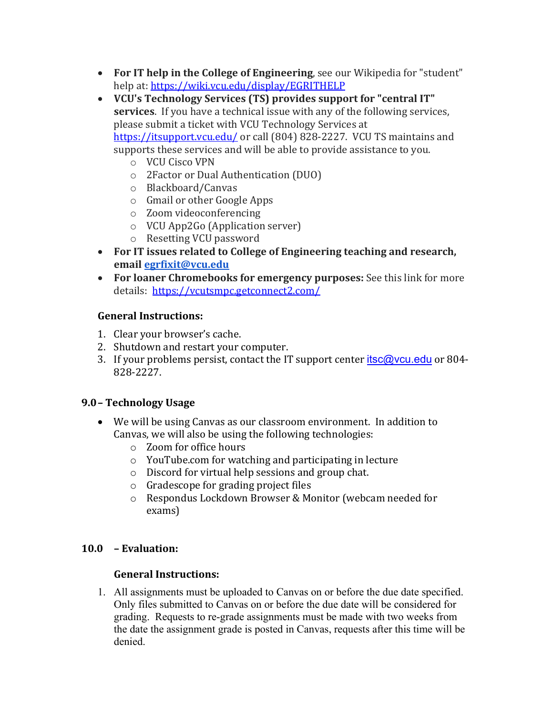- **For IT help in the College of Engineering**, see our Wikipedia for "student" help at: https://wiki.vcu.edu/display/EGRITHELP
- VCU's Technology Services (TS) provides support for "central IT" **services**. If you have a technical issue with any of the following services, please submit a ticket with VCU Technology Services at https://itsupport.vcu.edu/ or call (804) 828-2227. VCU TS maintains and supports these services and will be able to provide assistance to you.
	- o VCU Cisco VPN
	- o 2Factor or Dual Authentication (DUO)
	- o Blackboard/Canvas
	- $\circ$  Gmail or other Google Apps
	- o Zoom videoconferencing
	- o VCU App2Go (Application server)
	- o Resetting VCU password
- For IT issues related to College of Engineering teaching and research, **email egrfixit@vcu.edu**
- For loaner Chromebooks for emergency purposes: See this link for more details: https://vcutsmpc.getconnect2.com/

# **General Instructions:**

- 1. Clear your browser's cache.
- 2. Shutdown and restart your computer.
- 3. If your problems persist, contact the IT support center  $itsc@vcu.edu$  or 804-828-2227.

# **9.0– Technology Usage**

- We will be using Canvas as our classroom environment. In addition to Canvas, we will also be using the following technologies:
	- o Zoom for office hours
	- $\circ$  YouTube.com for watching and participating in lecture
	- $\circ$  Discord for virtual help sessions and group chat.
	- $\circ$  Gradescope for grading project files
	- o Respondus Lockdown Browser & Monitor (webcam needed for exams)

# **10.0 – Evaluation:**

# **General Instructions:**

1. All assignments must be uploaded to Canvas on or before the due date specified. Only files submitted to Canvas on or before the due date will be considered for grading. Requests to re-grade assignments must be made with two weeks from the date the assignment grade is posted in Canvas, requests after this time will be denied.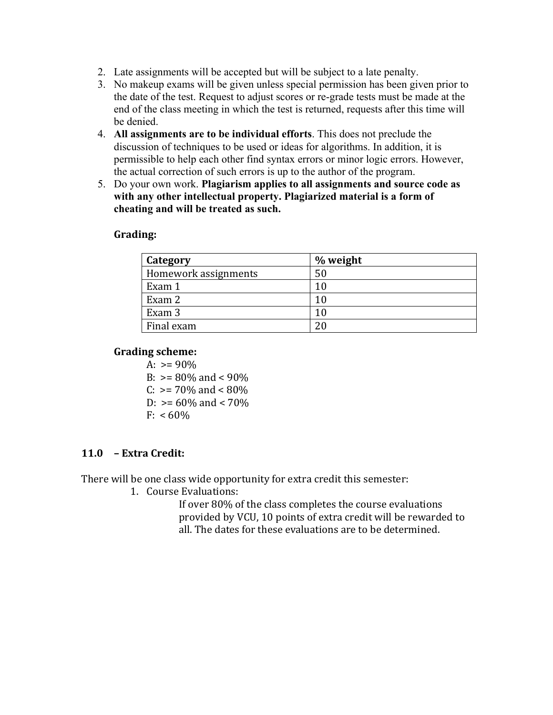- 2. Late assignments will be accepted but will be subject to a late penalty.
- 3. No makeup exams will be given unless special permission has been given prior to the date of the test. Request to adjust scores or re-grade tests must be made at the end of the class meeting in which the test is returned, requests after this time will be denied.
- 4. **All assignments are to be individual efforts**. This does not preclude the discussion of techniques to be used or ideas for algorithms. In addition, it is permissible to help each other find syntax errors or minor logic errors. However, the actual correction of such errors is up to the author of the program.
- 5. Do your own work. **Plagiarism applies to all assignments and source code as with any other intellectual property. Plagiarized material is a form of cheating and will be treated as such.**

## **Grading:**

| Category             | % weight |
|----------------------|----------|
| Homework assignments | 50       |
| Exam 1               | 10       |
| Exam 2               | 10       |
| Exam 3               | 10       |
| Final exam           |          |

## **Grading scheme:**

A:  $>= 90\%$ B:  $> = 80\%$  and  $< 90\%$  $C: \ \geq 70\%$  and  $\lt 80\%$ D:  $> = 60\%$  and  $< 70\%$  $F: < 60\%$ 

# **11.0 – Extra Credit:**

There will be one class wide opportunity for extra credit this semester:

1. Course Evaluations:

If over 80% of the class completes the course evaluations provided by VCU, 10 points of extra credit will be rewarded to all. The dates for these evaluations are to be determined.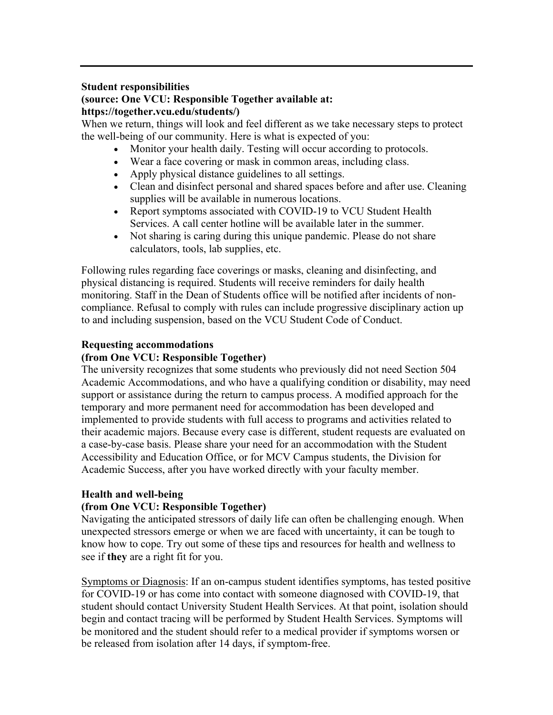#### **Student responsibilities**

## **(source: One VCU: Responsible Together available at: https://together.vcu.edu/students/)**

When we return, things will look and feel different as we take necessary steps to protect the well-being of our community. Here is what is expected of you:

- Monitor your health daily. Testing will occur according to protocols.
- Wear a face covering or mask in common areas, including class.
- Apply physical distance guidelines to all settings.
- Clean and disinfect personal and shared spaces before and after use. Cleaning supplies will be available in numerous locations.
- Report symptoms associated with COVID-19 to VCU Student Health Services. A call center hotline will be available later in the summer.
- Not sharing is caring during this unique pandemic. Please do not share calculators, tools, lab supplies, etc.

Following rules regarding face coverings or masks, cleaning and disinfecting, and physical distancing is required. Students will receive reminders for daily health monitoring. Staff in the Dean of Students office will be notified after incidents of noncompliance. Refusal to comply with rules can include progressive disciplinary action up to and including suspension, based on the VCU Student Code of Conduct.

## **Requesting accommodations**

## **(from One VCU: Responsible Together)**

The university recognizes that some students who previously did not need Section 504 Academic Accommodations, and who have a qualifying condition or disability, may need support or assistance during the return to campus process. A modified approach for the temporary and more permanent need for accommodation has been developed and implemented to provide students with full access to programs and activities related to their academic majors. Because every case is different, student requests are evaluated on a case-by-case basis. Please share your need for an accommodation with the Student Accessibility and Education Office, or for MCV Campus students, the Division for Academic Success, after you have worked directly with your faculty member.

#### **Health and well-being**

#### **(from One VCU: Responsible Together)**

Navigating the anticipated stressors of daily life can often be challenging enough. When unexpected stressors emerge or when we are faced with uncertainty, it can be tough to know how to cope. Try out some of these tips and resources for health and wellness to see if **they** are a right fit for you.

Symptoms or Diagnosis: If an on-campus student identifies symptoms, has tested positive for COVID-19 or has come into contact with someone diagnosed with COVID-19, that student should contact University Student Health Services. At that point, isolation should begin and contact tracing will be performed by Student Health Services. Symptoms will be monitored and the student should refer to a medical provider if symptoms worsen or be released from isolation after 14 days, if symptom-free.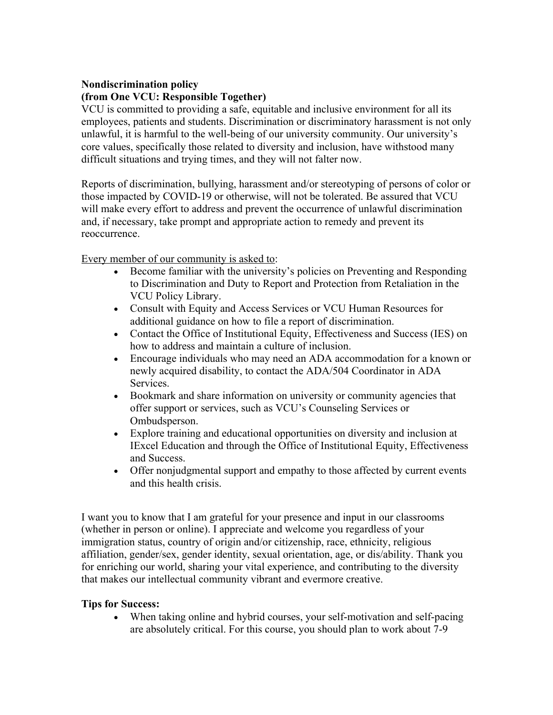# **Nondiscrimination policy**

## **(from One VCU: Responsible Together)**

VCU is committed to providing a safe, equitable and inclusive environment for all its employees, patients and students. Discrimination or discriminatory harassment is not only unlawful, it is harmful to the well-being of our university community. Our university's core values, specifically those related to diversity and inclusion, have withstood many difficult situations and trying times, and they will not falter now.

Reports of discrimination, bullying, harassment and/or stereotyping of persons of color or those impacted by COVID-19 or otherwise, will not be tolerated. Be assured that VCU will make every effort to address and prevent the occurrence of unlawful discrimination and, if necessary, take prompt and appropriate action to remedy and prevent its reoccurrence.

Every member of our community is asked to:

- Become familiar with the university's policies on Preventing and Responding to Discrimination and Duty to Report and Protection from Retaliation in the VCU Policy Library.
- Consult with Equity and Access Services or VCU Human Resources for additional guidance on how to file a report of discrimination.
- Contact the Office of Institutional Equity, Effectiveness and Success (IES) on how to address and maintain a culture of inclusion.
- Encourage individuals who may need an ADA accommodation for a known or newly acquired disability, to contact the ADA/504 Coordinator in ADA Services.
- Bookmark and share information on university or community agencies that offer support or services, such as VCU's Counseling Services or Ombudsperson.
- Explore training and educational opportunities on diversity and inclusion at IExcel Education and through the Office of Institutional Equity, Effectiveness and Success.
- Offer nonjudgmental support and empathy to those affected by current events and this health crisis.

I want you to know that I am grateful for your presence and input in our classrooms (whether in person or online). I appreciate and welcome you regardless of your immigration status, country of origin and/or citizenship, race, ethnicity, religious affiliation, gender/sex, gender identity, sexual orientation, age, or dis/ability. Thank you for enriching our world, sharing your vital experience, and contributing to the diversity that makes our intellectual community vibrant and evermore creative.

#### **Tips for Success:**

• When taking online and hybrid courses, your self-motivation and self-pacing are absolutely critical. For this course, you should plan to work about 7-9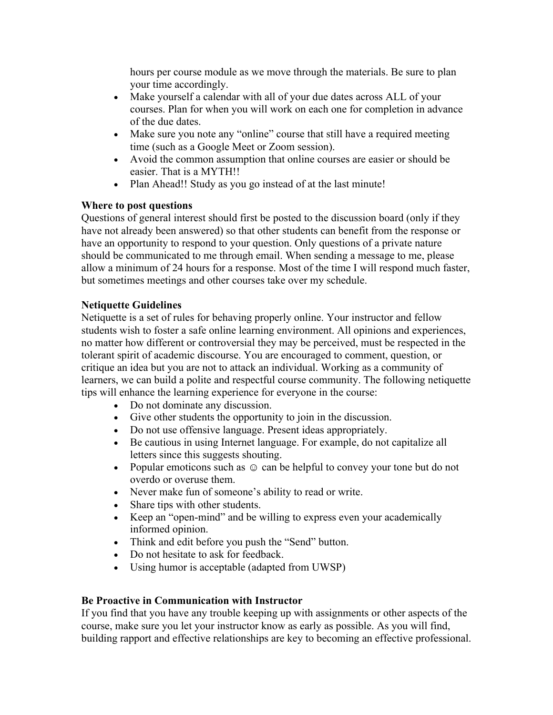hours per course module as we move through the materials. Be sure to plan your time accordingly.

- Make yourself a calendar with all of your due dates across ALL of your courses. Plan for when you will work on each one for completion in advance of the due dates.
- Make sure you note any "online" course that still have a required meeting time (such as a Google Meet or Zoom session).
- Avoid the common assumption that online courses are easier or should be easier. That is a MYTH!!
- Plan Ahead!! Study as you go instead of at the last minute!

# **Where to post questions**

Questions of general interest should first be posted to the discussion board (only if they have not already been answered) so that other students can benefit from the response or have an opportunity to respond to your question. Only questions of a private nature should be communicated to me through email. When sending a message to me, please allow a minimum of 24 hours for a response. Most of the time I will respond much faster, but sometimes meetings and other courses take over my schedule.

# **Netiquette Guidelines**

Netiquette is a set of rules for behaving properly online. Your instructor and fellow students wish to foster a safe online learning environment. All opinions and experiences, no matter how different or controversial they may be perceived, must be respected in the tolerant spirit of academic discourse. You are encouraged to comment, question, or critique an idea but you are not to attack an individual. Working as a community of learners, we can build a polite and respectful course community. The following netiquette tips will enhance the learning experience for everyone in the course:

- Do not dominate any discussion.
- Give other students the opportunity to join in the discussion.
- Do not use offensive language. Present ideas appropriately.
- Be cautious in using Internet language. For example, do not capitalize all letters since this suggests shouting.
- Popular emoticons such as  $\odot$  can be helpful to convey your tone but do not overdo or overuse them.
- Never make fun of someone's ability to read or write.
- Share tips with other students.
- Keep an "open-mind" and be willing to express even your academically informed opinion.
- Think and edit before you push the "Send" button.
- Do not hesitate to ask for feedback.
- Using humor is acceptable (adapted from UWSP)

# **Be Proactive in Communication with Instructor**

If you find that you have any trouble keeping up with assignments or other aspects of the course, make sure you let your instructor know as early as possible. As you will find, building rapport and effective relationships are key to becoming an effective professional.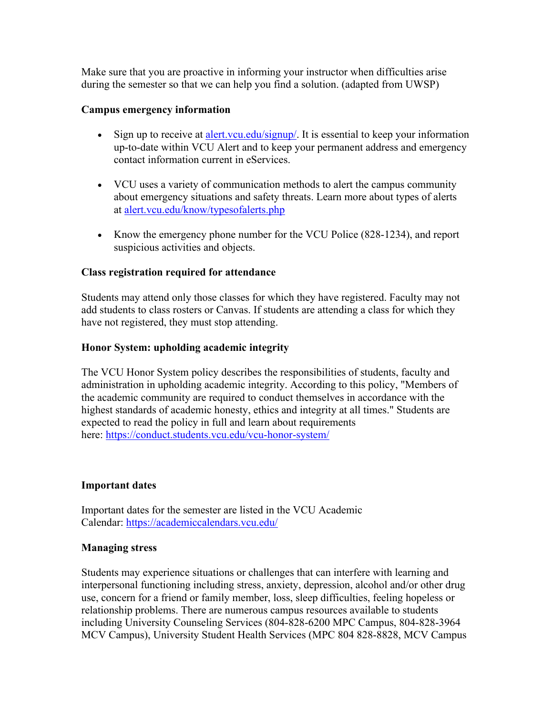Make sure that you are proactive in informing your instructor when difficulties arise during the semester so that we can help you find a solution. (adapted from UWSP)

# **Campus emergency information**

- Sign up to receive at alert.vcu.edu/signup/. It is essential to keep your information up-to-date within VCU Alert and to keep your permanent address and emergency contact information current in eServices.
- VCU uses a variety of communication methods to alert the campus community about emergency situations and safety threats. Learn more about types of alerts at alert.vcu.edu/know/typesofalerts.php
- Know the emergency phone number for the VCU Police (828-1234), and report suspicious activities and objects.

# **Class registration required for attendance**

Students may attend only those classes for which they have registered. Faculty may not add students to class rosters or Canvas. If students are attending a class for which they have not registered, they must stop attending.

# **Honor System: upholding academic integrity**

The VCU Honor System policy describes the responsibilities of students, faculty and administration in upholding academic integrity. According to this policy, "Members of the academic community are required to conduct themselves in accordance with the highest standards of academic honesty, ethics and integrity at all times." Students are expected to read the policy in full and learn about requirements here: https://conduct.students.vcu.edu/vcu-honor-system/

# **Important dates**

Important dates for the semester are listed in the VCU Academic Calendar: https://academiccalendars.vcu.edu/

# **Managing stress**

Students may experience situations or challenges that can interfere with learning and interpersonal functioning including stress, anxiety, depression, alcohol and/or other drug use, concern for a friend or family member, loss, sleep difficulties, feeling hopeless or relationship problems. There are numerous campus resources available to students including University Counseling Services (804-828-6200 MPC Campus, 804-828-3964 MCV Campus), University Student Health Services (MPC 804 828-8828, MCV Campus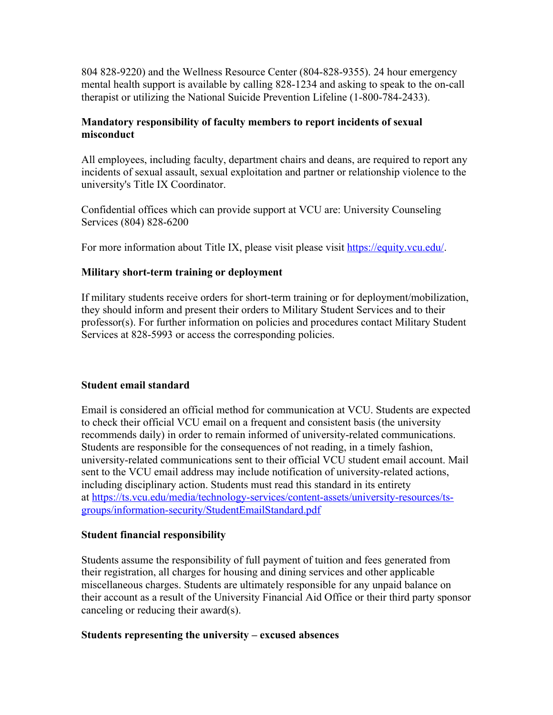804 828-9220) and the Wellness Resource Center (804-828-9355). 24 hour emergency mental health support is available by calling 828-1234 and asking to speak to the on-call therapist or utilizing the National Suicide Prevention Lifeline (1-800-784-2433).

# **Mandatory responsibility of faculty members to report incidents of sexual misconduct**

All employees, including faculty, department chairs and deans, are required to report any incidents of sexual assault, sexual exploitation and partner or relationship violence to the university's Title IX Coordinator.

Confidential offices which can provide support at VCU are: University Counseling Services (804) 828-6200

For more information about Title IX, please visit please visit https://equity.vcu.edu/.

# **Military short-term training or deployment**

If military students receive orders for short-term training or for deployment/mobilization, they should inform and present their orders to Military Student Services and to their professor(s). For further information on policies and procedures contact Military Student Services at 828-5993 or access the corresponding policies.

# **Student email standard**

Email is considered an official method for communication at VCU. Students are expected to check their official VCU email on a frequent and consistent basis (the university recommends daily) in order to remain informed of university-related communications. Students are responsible for the consequences of not reading, in a timely fashion, university-related communications sent to their official VCU student email account. Mail sent to the VCU email address may include notification of university-related actions, including disciplinary action. Students must read this standard in its entirety at https://ts.vcu.edu/media/technology-services/content-assets/university-resources/tsgroups/information-security/StudentEmailStandard.pdf

#### **Student financial responsibility**

Students assume the responsibility of full payment of tuition and fees generated from their registration, all charges for housing and dining services and other applicable miscellaneous charges. Students are ultimately responsible for any unpaid balance on their account as a result of the University Financial Aid Office or their third party sponsor canceling or reducing their award(s).

#### **Students representing the university – excused absences**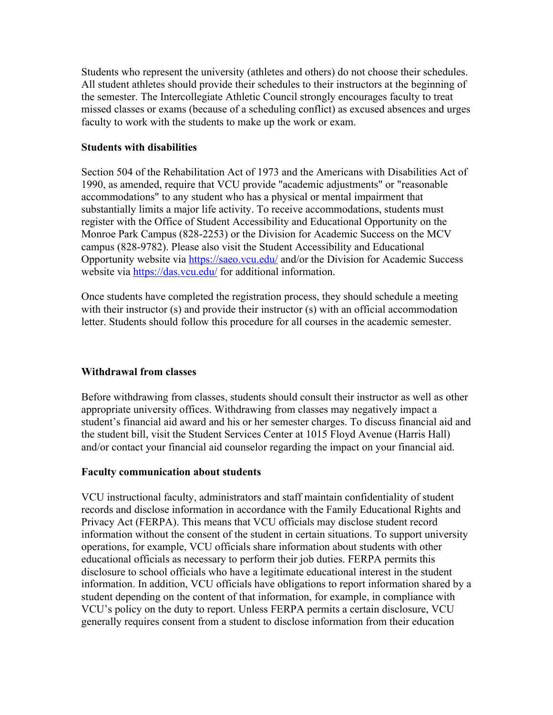Students who represent the university (athletes and others) do not choose their schedules. All student athletes should provide their schedules to their instructors at the beginning of the semester. The Intercollegiate Athletic Council strongly encourages faculty to treat missed classes or exams (because of a scheduling conflict) as excused absences and urges faculty to work with the students to make up the work or exam.

#### **Students with disabilities**

Section 504 of the Rehabilitation Act of 1973 and the Americans with Disabilities Act of 1990, as amended, require that VCU provide "academic adjustments" or "reasonable accommodations" to any student who has a physical or mental impairment that substantially limits a major life activity. To receive accommodations, students must register with the Office of Student Accessibility and Educational Opportunity on the Monroe Park Campus (828-2253) or the Division for Academic Success on the MCV campus (828-9782). Please also visit the Student Accessibility and Educational Opportunity website via https://saeo.vcu.edu/ and/or the Division for Academic Success website via https://das.vcu.edu/ for additional information.

Once students have completed the registration process, they should schedule a meeting with their instructor (s) and provide their instructor (s) with an official accommodation letter. Students should follow this procedure for all courses in the academic semester.

# **Withdrawal from classes**

Before withdrawing from classes, students should consult their instructor as well as other appropriate university offices. Withdrawing from classes may negatively impact a student's financial aid award and his or her semester charges. To discuss financial aid and the student bill, visit the Student Services Center at 1015 Floyd Avenue (Harris Hall) and/or contact your financial aid counselor regarding the impact on your financial aid.

#### **Faculty communication about students**

VCU instructional faculty, administrators and staff maintain confidentiality of student records and disclose information in accordance with the Family Educational Rights and Privacy Act (FERPA). This means that VCU officials may disclose student record information without the consent of the student in certain situations. To support university operations, for example, VCU officials share information about students with other educational officials as necessary to perform their job duties. FERPA permits this disclosure to school officials who have a legitimate educational interest in the student information. In addition, VCU officials have obligations to report information shared by a student depending on the content of that information, for example, in compliance with VCU's policy on the duty to report. Unless FERPA permits a certain disclosure, VCU generally requires consent from a student to disclose information from their education